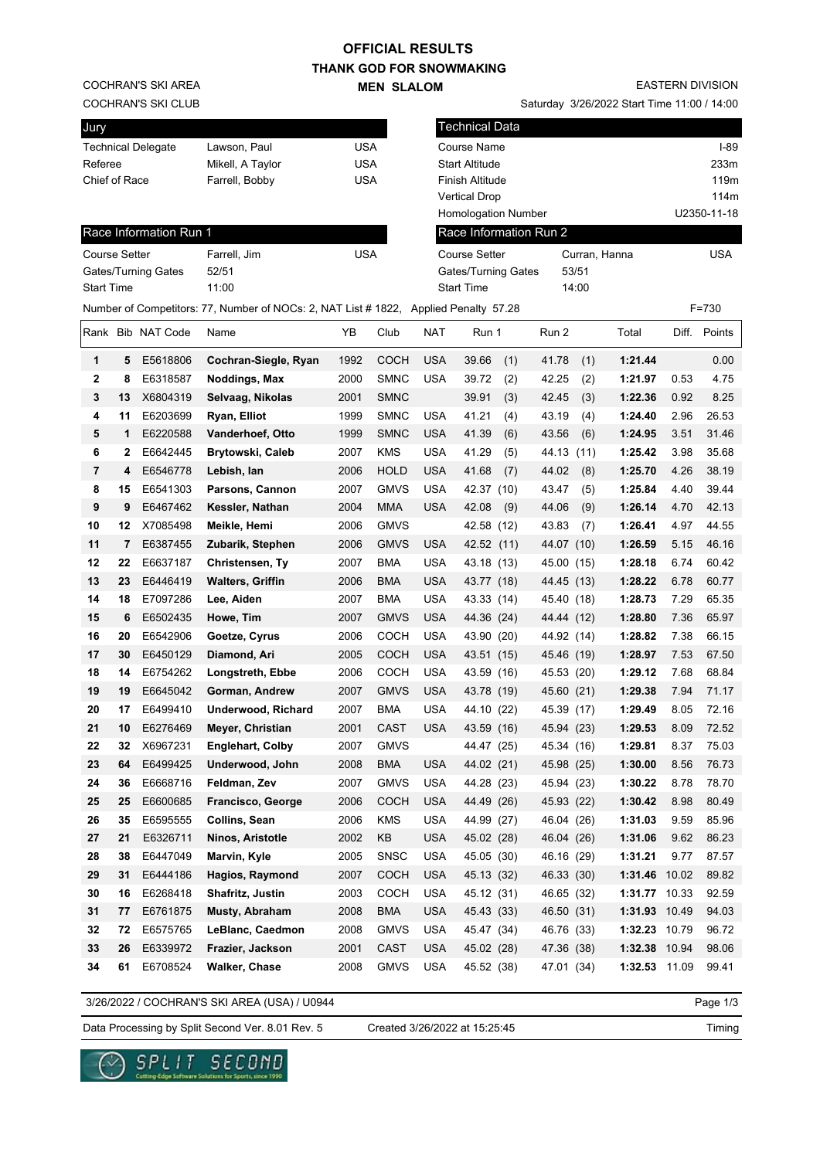## **OFFICIAL RESULTS**

**THANK GOD FOR SNOWMAKING MEN SLALOM** 

COCHRAN'S SKI AREA

COCHRAN'S SKI CLUB

| <b>EASTERN DIVISION</b> |  |
|-------------------------|--|

Saturday 3/26/2022 Start Time 11:00 / 14:00

| Jury                            |         |                            |                                                                                      |              |                            |                      | <b>Technical Data</b>                    |                          |                    |              |                |
|---------------------------------|---------|----------------------------|--------------------------------------------------------------------------------------|--------------|----------------------------|----------------------|------------------------------------------|--------------------------|--------------------|--------------|----------------|
|                                 |         | <b>Technical Delegate</b>  | Lawson, Paul                                                                         | USA          |                            |                      | Course Name                              |                          |                    |              | $I-89$         |
| Referee                         |         |                            | Mikell, A Taylor                                                                     | <b>USA</b>   |                            |                      | <b>Start Altitude</b>                    |                          |                    |              | 233m           |
| Chief of Race<br>Farrell, Bobby |         |                            |                                                                                      | <b>USA</b>   |                            |                      | <b>Finish Altitude</b>                   |                          |                    |              | 119m           |
|                                 |         |                            |                                                                                      |              |                            | <b>Vertical Drop</b> |                                          |                          |                    | 114m         |                |
|                                 |         |                            |                                                                                      |              |                            |                      | Homologation Number                      |                          |                    |              | U2350-11-18    |
|                                 |         | Race Information Run 1     |                                                                                      |              |                            |                      | Race Information Run 2                   |                          |                    |              |                |
| <b>Course Setter</b>            |         |                            | Farrell, Jim                                                                         | <b>USA</b>   |                            |                      | <b>Course Setter</b>                     | Curran, Hanna            |                    |              | <b>USA</b>     |
| <b>Start Time</b>               |         | <b>Gates/Turning Gates</b> | 52/51<br>11:00                                                                       |              |                            |                      | Gates/Turning Gates<br><b>Start Time</b> | 53/51<br>14:00           |                    |              |                |
|                                 |         |                            | Number of Competitors: 77, Number of NOCs: 2, NAT List # 1822, Applied Penalty 57.28 |              |                            |                      |                                          |                          |                    |              | $F = 730$      |
|                                 |         |                            |                                                                                      |              |                            |                      |                                          |                          |                    |              |                |
|                                 |         | Rank Bib NAT Code          | Name                                                                                 | ΥB           | Club                       | <b>NAT</b>           | Run 1                                    | Run 2                    | Total              |              | Diff. Points   |
| 1                               | 5       | E5618806                   | Cochran-Siegle, Ryan                                                                 | 1992         | <b>COCH</b>                | <b>USA</b>           | 39.66<br>(1)                             | 41.78<br>(1)             | 1:21.44            |              | 0.00           |
| 2                               | 8       | E6318587                   | Noddings, Max                                                                        | 2000         | <b>SMNC</b>                | <b>USA</b>           | 39.72<br>(2)                             | 42.25<br>(2)             | 1:21.97            | 0.53         | 4.75           |
| 3                               | 13      | X6804319                   | Selvaag, Nikolas                                                                     | 2001         | <b>SMNC</b>                |                      | 39.91<br>(3)                             | 42.45<br>(3)             | 1:22.36            | 0.92         | 8.25           |
| 4                               | 11      | E6203699                   | Ryan, Elliot                                                                         | 1999         | <b>SMNC</b>                | <b>USA</b>           | 41.21<br>(4)                             | 43.19<br>(4)             | 1:24.40            | 2.96         | 26.53          |
| 5                               | 1       | E6220588                   | <b>Vanderhoef, Otto</b>                                                              | 1999         | <b>SMNC</b>                | USA                  | 41.39<br>(6)                             | 43.56<br>(6)             | 1:24.95            | 3.51         | 31.46          |
| 6                               | 2       | E6642445                   | Brytowski, Caleb                                                                     | 2007         | <b>KMS</b>                 | <b>USA</b>           | 41.29<br>(5)                             | 44.13 (11)               | 1:25.42            | 3.98         | 35.68          |
| 7                               | 4       | E6546778                   | Lebish, Ian                                                                          | 2006         | <b>HOLD</b>                | <b>USA</b>           | 41.68<br>(7)                             | 44.02<br>(8)             | 1:25.70            | 4.26         | 38.19          |
| 8                               | 15      | E6541303                   | Parsons, Cannon                                                                      | 2007         | <b>GMVS</b>                | <b>USA</b>           | 42.37 (10)                               | 43.47<br>(5)             | 1:25.84            | 4.40         | 39.44          |
| 9                               | 9       | E6467462                   | Kessler, Nathan                                                                      | 2004         | <b>MMA</b>                 | <b>USA</b>           | 42.08<br>(9)                             | 44.06<br>(9)             | 1:26.14            | 4.70         | 42.13          |
| 10<br>11                        | 12      | X7085498                   | Meikle, Hemi                                                                         | 2006<br>2006 | <b>GMVS</b><br><b>GMVS</b> | <b>USA</b>           | 42.58 (12)                               | 43.83<br>(7)             | 1:26.41<br>1:26.59 | 4.97<br>5.15 | 44.55<br>46.16 |
| 12                              | 7<br>22 | E6387455<br>E6637187       | Zubarik, Stephen                                                                     | 2007         | <b>BMA</b>                 | USA                  | 42.52 (11)                               | 44.07 (10)               | 1:28.18            | 6.74         | 60.42          |
| 13                              | 23      | E6446419                   | Christensen, Ty<br><b>Walters, Griffin</b>                                           | 2006         | <b>BMA</b>                 | USA                  | 43.18 (13)<br>43.77 (18)                 | 45.00 (15)<br>44.45 (13) | 1:28.22            | 6.78         | 60.77          |
| 14                              | 18      | E7097286                   | Lee, Aiden                                                                           | 2007         | BMA                        | <b>USA</b>           | 43.33 (14)                               | 45.40 (18)               | 1:28.73            | 7.29         | 65.35          |
| 15                              | 6       | E6502435                   | Howe, Tim                                                                            | 2007         | <b>GMVS</b>                | <b>USA</b>           | 44.36 (24)                               | 44.44 (12)               | 1:28.80            | 7.36         | 65.97          |
| 16                              | 20      | E6542906                   | Goetze, Cyrus                                                                        | 2006         | COCH                       | <b>USA</b>           | 43.90 (20)                               | 44.92 (14)               | 1:28.82            | 7.38         | 66.15          |
| 17                              | 30      | E6450129                   | Diamond, Ari                                                                         | 2005         | <b>COCH</b>                | <b>USA</b>           | 43.51 (15)                               | 45.46 (19)               | 1:28.97            | 7.53         | 67.50          |
| 18                              | 14      | E6754262                   | Longstreth, Ebbe                                                                     | 2006         | COCH                       | <b>USA</b>           | 43.59 (16)                               | 45.53 (20)               | 1:29.12            | 7.68         | 68.84          |
| 19                              | 19      | E6645042                   | Gorman, Andrew                                                                       | 2007         | <b>GMVS</b>                | <b>USA</b>           | 43.78 (19)                               | 45.60 (21)               | 1:29.38            | 7.94         | 71.17          |
| 20                              | 17      | E6499410                   | Underwood, Richard                                                                   | 2007         | <b>BMA</b>                 | USA                  | 44.10 (22)                               | 45.39 (17)               | 1:29.49            | 8.05         | 72.16          |
| 21                              |         | 10 E6276469                | Meyer, Christian                                                                     | 2001         | CAST                       | USA                  | 43.59 (16)                               | 45.94 (23)               | 1:29.53            | 8.09         | 72.52          |
| 22                              | 32      | X6967231                   | Englehart, Colby                                                                     | 2007         | <b>GMVS</b>                |                      | 44.47 (25)                               | 45.34 (16)               | 1:29.81            | 8.37         | 75.03          |
| 23                              | 64      | E6499425                   | Underwood, John                                                                      | 2008         | <b>BMA</b>                 | <b>USA</b>           | 44.02 (21)                               | 45.98 (25)               | 1:30.00            | 8.56         | 76.73          |
| 24                              | 36      | E6668716                   | Feldman, Zev                                                                         | 2007         | <b>GMVS</b>                | <b>USA</b>           | 44.28 (23)                               | 45.94 (23)               | 1:30.22            | 8.78         | 78.70          |
| 25                              | 25      | E6600685                   | Francisco, George                                                                    | 2006         | <b>COCH</b>                | <b>USA</b>           | 44.49 (26)                               | 45.93 (22)               | 1:30.42            | 8.98         | 80.49          |
| 26                              | 35      | E6595555                   | <b>Collins, Sean</b>                                                                 | 2006         | <b>KMS</b>                 | <b>USA</b>           | 44.99 (27)                               | 46.04 (26)               | 1:31.03            | 9.59         | 85.96          |
| 27                              | 21      | E6326711                   | Ninos, Aristotle                                                                     | 2002         | KB                         | <b>USA</b>           | 45.02 (28)                               | 46.04 (26)               | 1:31.06            | 9.62         | 86.23          |
| 28                              | 38      | E6447049                   | Marvin, Kyle                                                                         | 2005         | <b>SNSC</b>                | USA                  | 45.05 (30)                               | 46.16 (29)               | 1:31.21            | 9.77         | 87.57          |
| 29                              | 31      | E6444186                   | Hagios, Raymond                                                                      | 2007         | <b>COCH</b>                | <b>USA</b>           | 45.13 (32)                               | 46.33 (30)               | 1:31.46            | 10.02        | 89.82          |
| 30                              | 16      | E6268418                   | Shafritz, Justin                                                                     | 2003         | <b>COCH</b>                | <b>USA</b>           | 45.12 (31)                               | 46.65 (32)               | 1:31.77            | 10.33        | 92.59          |
| 31                              | 77      | E6761875                   | Musty, Abraham                                                                       | 2008         | <b>BMA</b>                 | <b>USA</b>           | 45.43 (33)                               | 46.50 (31)               | 1:31.93 10.49      |              | 94.03          |
| 32                              | 72      | E6575765                   | LeBlanc, Caedmon                                                                     | 2008         | <b>GMVS</b>                | <b>USA</b>           | 45.47 (34)                               | 46.76 (33)               | 1:32.23 10.79      |              | 96.72          |
| 33                              | 26      | E6339972                   | Frazier, Jackson                                                                     | 2001         | CAST                       | <b>USA</b>           | 45.02 (28)                               | 47.36 (38)               | 1:32.38 10.94      |              | 98.06          |
| 34                              | 61      | E6708524                   | <b>Walker, Chase</b>                                                                 | 2008         | <b>GMVS</b>                | USA                  | 45.52 (38)                               | 47.01 (34)               | 1:32.53 11.09      |              | 99.41          |

3/26/2022 / COCHRAN'S SKI AREA (USA) / U0944

Page 1/3

Data Processing by Split Second Ver. 8.01 Rev. 5 Created 3/26/2022 at 15:25:45

Created 3/26/2022 at 15:25:45

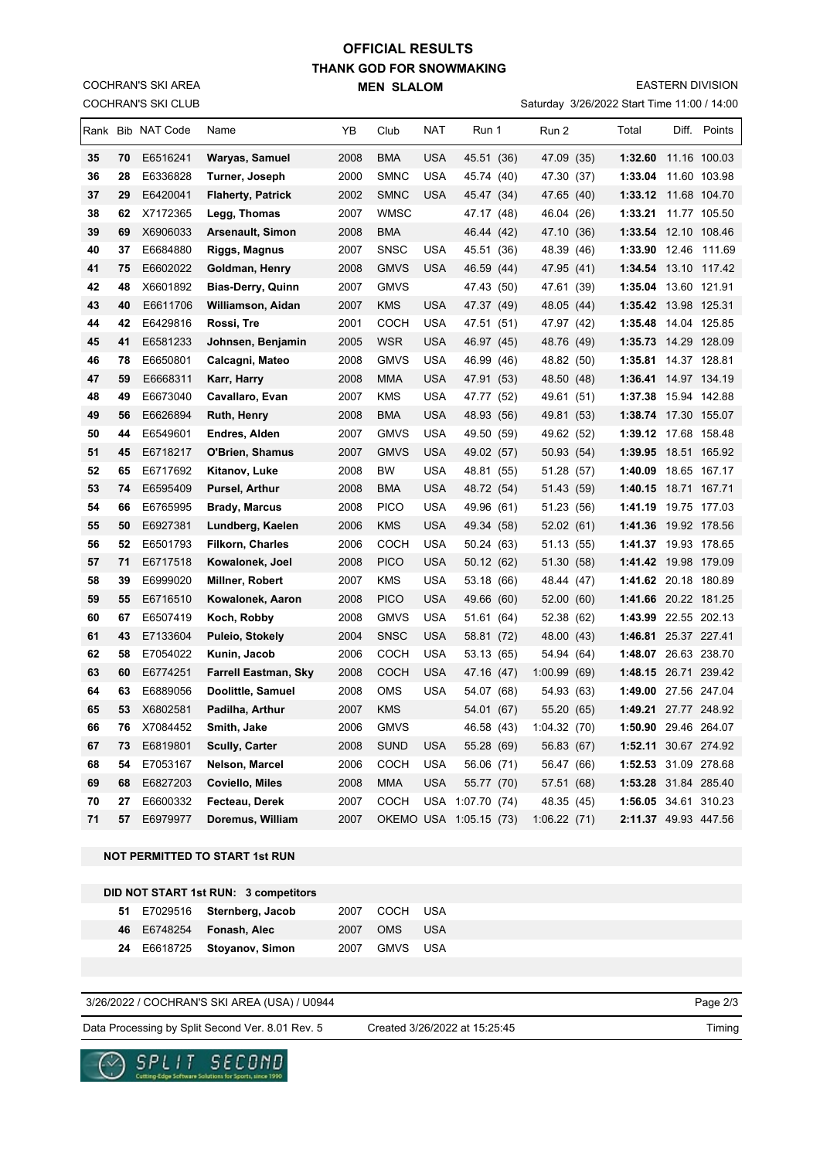## **THANK GOD FOR SNOWMAKING MEN SLALOM OFFICIAL RESULTS**

COCHRAN'S SKI CLUB COCHRAN'S SKI AREA

#### EASTERN DIVISION

Saturday 3/26/2022 Start Time 11:00 / 14:00

|    |    | Rank Bib NAT Code | Name                        | ΥB   | Club        | <b>NAT</b> | Run 1                  | Run 2       |             | Total                | Diff. Points |
|----|----|-------------------|-----------------------------|------|-------------|------------|------------------------|-------------|-------------|----------------------|--------------|
| 35 | 70 | E6516241          | Waryas, Samuel              | 2008 | <b>BMA</b>  | <b>USA</b> | 45.51 (36)             |             | 47.09 (35)  | 1:32.60 11.16 100.03 |              |
| 36 | 28 | E6336828          | Turner, Joseph              | 2000 | <b>SMNC</b> | <b>USA</b> | 45.74 (40)             |             | 47.30 (37)  | 1:33.04              | 11.60 103.98 |
| 37 | 29 | E6420041          | <b>Flaherty, Patrick</b>    | 2002 | <b>SMNC</b> | <b>USA</b> | 45.47 (34)             | 47.65       | (40)        | 1:33.12              | 11.68 104.70 |
| 38 | 62 | X7172365          | Legg, Thomas                | 2007 | <b>WMSC</b> |            | 47.17 (48)             |             | 46.04 (26)  | 1:33.21 11.77 105.50 |              |
| 39 | 69 | X6906033          | <b>Arsenault, Simon</b>     | 2008 | <b>BMA</b>  |            | 46.44 (42)             |             | 47.10 (36)  | 1:33.54 12.10 108.46 |              |
| 40 | 37 | E6684880          | Riggs, Magnus               | 2007 | <b>SNSC</b> | <b>USA</b> | 45.51 (36)             | 48.39       | (46)        | 1:33.90 12.46 111.69 |              |
| 41 | 75 | E6602022          | Goldman, Henry              | 2008 | <b>GMVS</b> | <b>USA</b> | 46.59 (44)             |             | 47.95 (41)  | 1:34.54 13.10 117.42 |              |
| 42 | 48 | X6601892          | <b>Bias-Derry, Quinn</b>    | 2007 | <b>GMVS</b> |            | 47.43 (50)             | 47.61       | (39)        | 1:35.04              | 13.60 121.91 |
| 43 | 40 | E6611706          | Williamson, Aidan           | 2007 | KMS         | USA        | 47.37 (49)             |             | 48.05 (44)  | 1:35.42 13.98 125.31 |              |
| 44 | 42 | E6429816          | Rossi, Tre                  | 2001 | сосн        | USA        | 47.51 (51)             |             | 47.97 (42)  | 1:35.48 14.04 125.85 |              |
| 45 | 41 | E6581233          | Johnsen, Benjamin           | 2005 | <b>WSR</b>  | USA        | 46.97 (45)             |             | 48.76 (49)  | 1:35.73 14.29 128.09 |              |
| 46 | 78 | E6650801          | Calcagni, Mateo             | 2008 | <b>GMVS</b> | <b>USA</b> | 46.99 (46)             |             | 48.82 (50)  | 1:35.81              | 14.37 128.81 |
| 47 | 59 | E6668311          | Karr, Harry                 | 2008 | <b>MMA</b>  | <b>USA</b> | 47.91 (53)             |             | 48.50 (48)  | 1:36.41              | 14.97 134.19 |
| 48 | 49 | E6673040          | Cavallaro, Evan             | 2007 | KMS         | <b>USA</b> | 47.77 (52)             |             | 49.61 (51)  | 1:37.38              | 15.94 142.88 |
| 49 | 56 | E6626894          | <b>Ruth, Henry</b>          | 2008 | <b>BMA</b>  | <b>USA</b> | 48.93 (56)             |             | 49.81 (53)  | 1:38.74 17.30 155.07 |              |
| 50 | 44 | E6549601          | Endres, Alden               | 2007 | <b>GMVS</b> | <b>USA</b> | 49.50 (59)             |             | 49.62 (52)  | 1:39.12 17.68 158.48 |              |
| 51 | 45 | E6718217          | O'Brien, Shamus             | 2007 | <b>GMVS</b> | <b>USA</b> | 49.02 (57)             |             | 50.93 (54)  | 1:39.95              | 18.51 165.92 |
| 52 | 65 | E6717692          | Kitanov, Luke               | 2008 | ВW          | USA        | 48.81 (55)             |             | 51.28 (57)  | 1:40.09              | 18.65 167.17 |
| 53 | 74 | E6595409          | Pursel, Arthur              | 2008 | <b>BMA</b>  | USA        | 48.72 (54)             |             | 51.43 (59)  | 1:40.15              | 18.71 167.71 |
| 54 | 66 | E6765995          | <b>Brady, Marcus</b>        | 2008 | <b>PICO</b> | <b>USA</b> | 49.96 (61)             |             | 51.23 (56)  | 1:41.19              | 19.75 177.03 |
| 55 | 50 | E6927381          | Lundberg, Kaelen            | 2006 | KMS         | USA        | 49.34 (58)             |             | 52.02(61)   | 1:41.36 19.92 178.56 |              |
| 56 | 52 | E6501793          | <b>Filkorn, Charles</b>     | 2006 | сосн        | USA        | 50.24 (63)             |             | 51.13 (55)  | 1:41.37 19.93 178.65 |              |
| 57 | 71 | E6717518          | Kowalonek, Joel             | 2008 | <b>PICO</b> | USA        | 50.12 (62)             |             | 51.30 (58)  | 1:41.42 19.98 179.09 |              |
| 58 | 39 | E6999020          | Millner, Robert             | 2007 | KMS         | USA        | 53.18 (66)             |             | 48.44 (47)  | 1:41.62 20.18 180.89 |              |
| 59 | 55 | E6716510          | Kowalonek, Aaron            | 2008 | <b>PICO</b> | <b>USA</b> | 49.66 (60)             | 52.00       | (60)        | 1:41.66 20.22 181.25 |              |
| 60 | 67 | E6507419          | Koch, Robby                 | 2008 | <b>GMVS</b> | <b>USA</b> | 51.61 (64)             |             | 52.38 (62)  | 1:43.99 22.55 202.13 |              |
| 61 | 43 | E7133604          | <b>Puleio, Stokely</b>      | 2004 | <b>SNSC</b> | <b>USA</b> | 58.81 (72)             |             | 48.00 (43)  | 1:46.81 25.37 227.41 |              |
| 62 | 58 | E7054022          | Kunin, Jacob                | 2006 | COCH        | <b>USA</b> | 53.13 (65)             |             | 54.94 (64)  | 1:48.07 26.63 238.70 |              |
| 63 | 60 | E6774251          | <b>Farrell Eastman, Sky</b> | 2008 | <b>COCH</b> | <b>USA</b> | 47.16 (47)             | 1:00.99     | (69)        | 1:48.15 26.71 239.42 |              |
| 64 | 63 | E6889056          | Doolittle, Samuel           | 2008 | <b>OMS</b>  | <b>USA</b> | 54.07 (68)             |             | 54.93 (63)  | 1:49.00 27.56 247.04 |              |
| 65 | 53 | X6802581          | Padilha, Arthur             | 2007 | KMS         |            | 54.01 (67)             | 55.20       | (65)        | 1:49.21 27.77 248.92 |              |
| 66 | 76 | X7084452          | Smith, Jake                 | 2006 | <b>GMVS</b> |            | 46.58 (43)             |             | 1:04.32(70) | 1:50.90 29.46 264.07 |              |
| 67 | 73 | E6819801          | <b>Scully, Carter</b>       | 2008 | SUND        | <b>USA</b> | 55.28 (69)             |             | 56.83 (67)  | 1:52.11 30.67 274.92 |              |
| 68 | 54 | E7053167          | Nelson, Marcel              | 2006 | СОСН        | <b>USA</b> | 56.06 (71)             |             | 56.47 (66)  | 1:52.53 31.09 278.68 |              |
| 69 | 68 | E6827203          | <b>Coviello, Miles</b>      | 2008 | <b>MMA</b>  | <b>USA</b> | 55.77 (70)             | 57.51       | (68)        | 1:53.28 31.84 285.40 |              |
| 70 | 27 | E6600332          | Fecteau, Derek              | 2007 | COCH        | <b>USA</b> | 1:07.70                | (74)        | 48.35 (45)  | 1:56.05 34.61 310.23 |              |
| 71 | 57 | E6979977          | Doremus, William            | 2007 |             |            | OKEMO USA 1:05.15 (73) | 1:06.22(71) |             | 2:11.37 49.93 447.56 |              |

### **NOT PERMITTED TO START 1st RUN**

| DID NOT START 1st RUN: 3 competitors |  |
|--------------------------------------|--|
|--------------------------------------|--|

|  | 51 E7029516 Sternberg, Jacob | 2007 COCH USA |  |
|--|------------------------------|---------------|--|
|  | 46 E6748254 Fonash, Alec     | 2007 OMS USA  |  |
|  | 24 E6618725 Stoyanov, Simon  | 2007 GMVS USA |  |

### 3/26/2022 / COCHRAN'S SKI AREA (USA) / U0944

Data Processing by Split Second Ver. 8.01 Rev. 5 Created 3/26/2022 at 15:25:45 Timing

Created 3/26/2022 at 15:25:45

Page 2/3